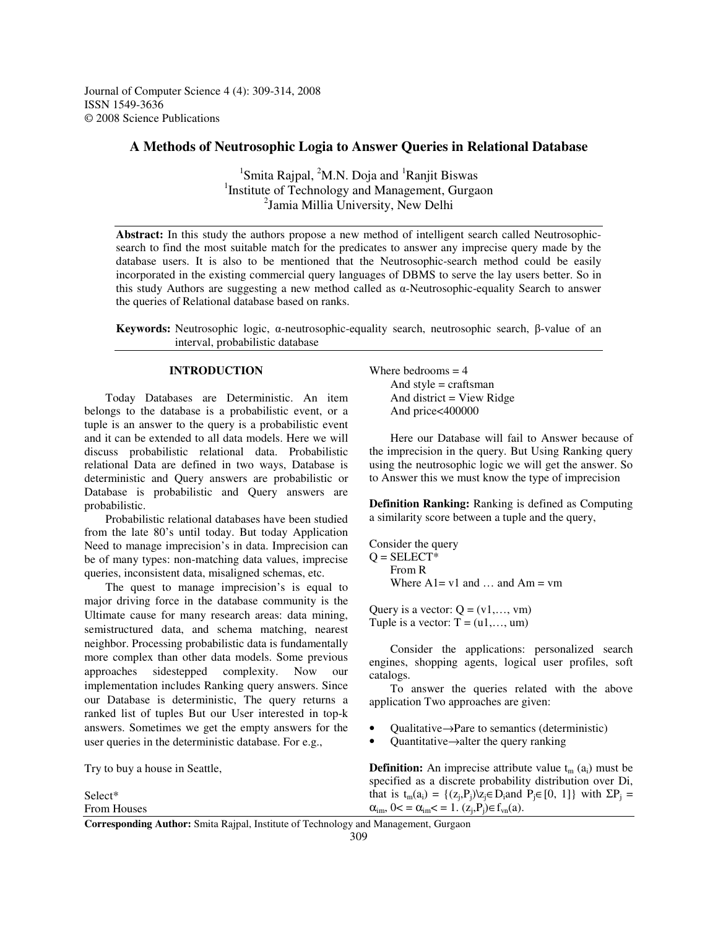Journal of Computer Science 4 (4): 309-314, 2008 ISSN 1549-3636 © 2008 Science Publications

# **A Methods of Neutrosophic Logia to Answer Queries in Relational Database**

<sup>1</sup>Smita Rajpal, <sup>2</sup>M.N. Doja and <sup>1</sup>Ranjit Biswas <sup>1</sup>Institute of Technology and Management, Gurgaon 2 Jamia Millia University, New Delhi

**Abstract:** In this study the authors propose a new method of intelligent search called Neutrosophicsearch to find the most suitable match for the predicates to answer any imprecise query made by the database users. It is also to be mentioned that the Neutrosophic-search method could be easily incorporated in the existing commercial query languages of DBMS to serve the lay users better. So in this study Authors are suggesting a new method called as  $\alpha$ -Neutrosophic-equality Search to answer the queries of Relational database based on ranks.

**Keywords:** Neutrosophic logic,  $\alpha$ -neutrosophic-equality search, neutrosophic search,  $\beta$ -value of an interval, probabilistic database

## **INTRODUCTION**

Today Databases are Deterministic. An item belongs to the database is a probabilistic event, or a tuple is an answer to the query is a probabilistic event and it can be extended to all data models. Here we will discuss probabilistic relational data. Probabilistic relational Data are defined in two ways, Database is deterministic and Query answers are probabilistic or Database is probabilistic and Query answers are probabilistic.

Probabilistic relational databases have been studied from the late 80's until today. But today Application Need to manage imprecision's in data. Imprecision can be of many types: non-matching data values, imprecise queries, inconsistent data, misaligned schemas, etc.

The quest to manage imprecision's is equal to major driving force in the database community is the Ultimate cause for many research areas: data mining, semistructured data, and schema matching, nearest neighbor. Processing probabilistic data is fundamentally more complex than other data models. Some previous approaches sidestepped complexity. Now our implementation includes Ranking query answers. Since our Database is deterministic, The query returns a ranked list of tuples But our User interested in top-k answers. Sometimes we get the empty answers for the user queries in the deterministic database. For e.g.,

Try to buy a house in Seattle,

Select\* From Houses Where bedrooms  $=$  4

And style = craftsman And district = View Ridge And price<400000

Here our Database will fail to Answer because of the imprecision in the query. But Using Ranking query using the neutrosophic logic we will get the answer. So to Answer this we must know the type of imprecision

**Definition Ranking:** Ranking is defined as Computing a similarity score between a tuple and the query,

Consider the query  $Q = SELECT*$ From R Where  $A1 = v1$  and ... and  $Am = vm$ 

Query is a vector:  $Q = (v1, \ldots, vm)$ Tuple is a vector:  $T = (u1, \ldots, um)$ 

Consider the applications: personalized search engines, shopping agents, logical user profiles, soft catalogs.

To answer the queries related with the above application Two approaches are given:

- Qualitative→Pare to semantics (deterministic)
- Quantitative→alter the query ranking

**Definition:** An imprecise attribute value  $t_m$  ( $a_i$ ) must be specified as a discrete probability distribution over Di, that is  $t_m(a_i) = \{(z_j, P_j) | z_j \in D_i \text{ and } P_j \in [0, 1]\}$  with  $\Sigma P_j =$  $\alpha_{\text{im}}$ ,  $0 < \alpha_{\text{im}} < 1$ .  $(z_j, P_j) \in f_{vn}(a)$ .

**Corresponding Author:** Smita Rajpal, Institute of Technology and Management, Gurgaon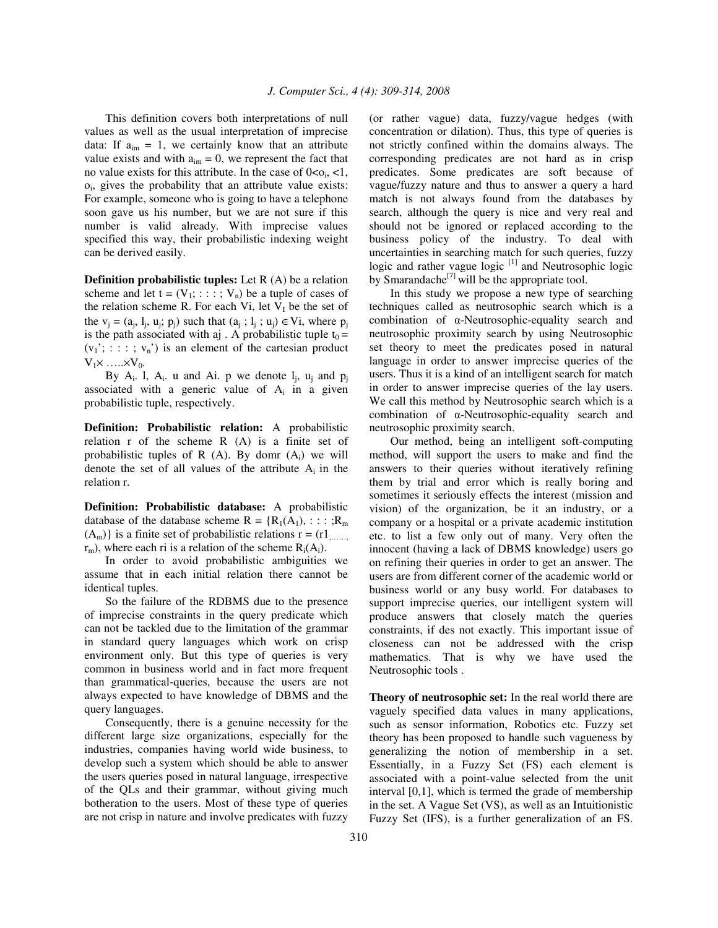This definition covers both interpretations of null values as well as the usual interpretation of imprecise data: If  $a_{im} = 1$ , we certainly know that an attribute value exists and with  $a_{im} = 0$ , we represent the fact that no value exists for this attribute. In the case of  $0 < 0<sub>i</sub>, < 1$ , oi , gives the probability that an attribute value exists: For example, someone who is going to have a telephone soon gave us his number, but we are not sure if this number is valid already. With imprecise values specified this way, their probabilistic indexing weight can be derived easily.

**Definition probabilistic tuples:** Let R (A) be a relation scheme and let  $t = (V_1; \dots; V_n)$  be a tuple of cases of the relation scheme R. For each Vi, let  $V<sub>I</sub>$  be the set of the  $v_j = (a_j, l_j, u_j; p_j)$  such that  $(a_j; l_j; u_j) \in Vi$ , where  $p_j$ is the path associated with aj . A probabilistic tuple  $t_0 =$  $(v_1$ <sup>'</sup>; : : : ;  $v_n$ <sup>'</sup>) is an element of the cartesian product  $V_1 \times \ldots \times V_0$ .

By  $A_i$ . 1,  $A_i$ . u and Ai. p we denote  $l_j$ ,  $u_j$  and  $p_j$ associated with a generic value of  $A_i$  in a given probabilistic tuple, respectively.

**Definition: Probabilistic relation:** A probabilistic relation  $r$  of the scheme  $R(A)$  is a finite set of probabilistic tuples of R  $(A)$ . By domr  $(A_i)$  we will denote the set of all values of the attribute  $A_i$  in the relation r.

**Definition: Probabilistic database:** A probabilistic database of the database scheme  $R = \{R_1(A_1), \ldots, R_m\}$  $(A<sub>m</sub>)$  is a finite set of probabilistic relations  $r = (r1)$ <sub>……</sub>  $r_m$ ), where each ri is a relation of the scheme  $R_i(A_i)$ .

In order to avoid probabilistic ambiguities we assume that in each initial relation there cannot be identical tuples.

So the failure of the RDBMS due to the presence of imprecise constraints in the query predicate which can not be tackled due to the limitation of the grammar in standard query languages which work on crisp environment only. But this type of queries is very common in business world and in fact more frequent than grammatical-queries, because the users are not always expected to have knowledge of DBMS and the query languages.

Consequently, there is a genuine necessity for the different large size organizations, especially for the industries, companies having world wide business, to develop such a system which should be able to answer the users queries posed in natural language, irrespective of the QLs and their grammar, without giving much botheration to the users. Most of these type of queries are not crisp in nature and involve predicates with fuzzy (or rather vague) data, fuzzy/vague hedges (with concentration or dilation). Thus, this type of queries is not strictly confined within the domains always. The corresponding predicates are not hard as in crisp predicates. Some predicates are soft because of vague/fuzzy nature and thus to answer a query a hard match is not always found from the databases by search, although the query is nice and very real and should not be ignored or replaced according to the business policy of the industry. To deal with uncertainties in searching match for such queries, fuzzy logic and rather vague logic<sup>[1]</sup> and Neutrosophic logic by Smarandache<sup>[7]</sup> will be the appropriate tool.

In this study we propose a new type of searching techniques called as neutrosophic search which is a combination of  $\alpha$ -Neutrosophic-equality search and neutrosophic proximity search by using Neutrosophic set theory to meet the predicates posed in natural language in order to answer imprecise queries of the users. Thus it is a kind of an intelligent search for match in order to answer imprecise queries of the lay users. We call this method by Neutrosophic search which is a combination of  $\alpha$ -Neutrosophic-equality search and neutrosophic proximity search.

Our method, being an intelligent soft-computing method, will support the users to make and find the answers to their queries without iteratively refining them by trial and error which is really boring and sometimes it seriously effects the interest (mission and vision) of the organization, be it an industry, or a company or a hospital or a private academic institution etc. to list a few only out of many. Very often the innocent (having a lack of DBMS knowledge) users go on refining their queries in order to get an answer. The users are from different corner of the academic world or business world or any busy world. For databases to support imprecise queries, our intelligent system will produce answers that closely match the queries constraints, if des not exactly. This important issue of closeness can not be addressed with the crisp mathematics. That is why we have used the Neutrosophic tools .

**Theory of neutrosophic set:** In the real world there are vaguely specified data values in many applications, such as sensor information, Robotics etc. Fuzzy set theory has been proposed to handle such vagueness by generalizing the notion of membership in a set. Essentially, in a Fuzzy Set (FS) each element is associated with a point-value selected from the unit interval [0,1], which is termed the grade of membership in the set. A Vague Set (VS), as well as an Intuitionistic Fuzzy Set (IFS), is a further generalization of an FS.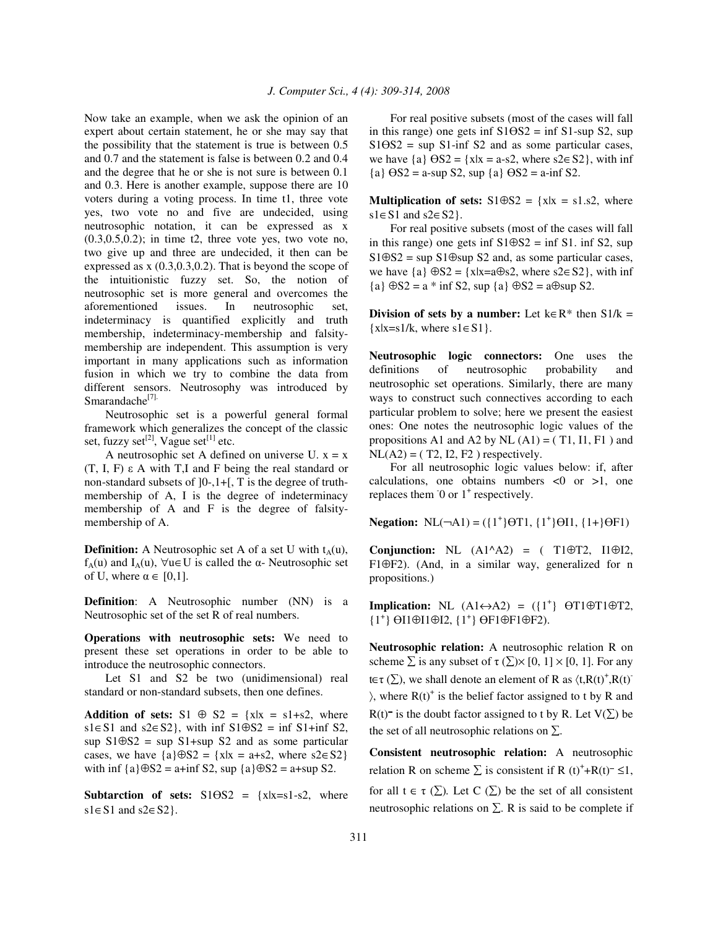Now take an example, when we ask the opinion of an expert about certain statement, he or she may say that the possibility that the statement is true is between 0.5 and 0.7 and the statement is false is between 0.2 and 0.4 and the degree that he or she is not sure is between 0.1 and 0.3. Here is another example, suppose there are 10 voters during a voting process. In time t1, three vote yes, two vote no and five are undecided, using neutrosophic notation, it can be expressed as x  $(0.3, 0.5, 0.2)$ ; in time t2, three vote yes, two vote no, two give up and three are undecided, it then can be expressed as x (0.3,0.3,0.2). That is beyond the scope of the intuitionistic fuzzy set. So, the notion of neutrosophic set is more general and overcomes the aforementioned issues. In neutrosophic set, indeterminacy is quantified explicitly and truth membership, indeterminacy-membership and falsitymembership are independent. This assumption is very important in many applications such as information fusion in which we try to combine the data from different sensors. Neutrosophy was introduced by Smarandache<sup>[7].</sup>

Neutrosophic set is a powerful general formal framework which generalizes the concept of the classic set, fuzzy set<sup>[2]</sup>, Vague set<sup>[1]</sup> etc.

A neutrosophic set A defined on universe U.  $x = x$  $(T, I, F)$   $\varepsilon$  A with T,I and F being the real standard or non-standard subsets of  $]0-1+$ [, T is the degree of truthmembership of A, I is the degree of indeterminacy membership of A and F is the degree of falsitymembership of A.

**Definition:** A Neutrosophic set A of a set U with  $t_A(u)$ ,  $f_A(u)$  and  $I_A(u)$ ,  $\forall u \in U$  is called the  $\alpha$ - Neutrosophic set of U, where  $\alpha \in [0,1]$ .

**Definition**: A Neutrosophic number (NN) is a Neutrosophic set of the set R of real numbers.

**Operations with neutrosophic sets:** We need to present these set operations in order to be able to introduce the neutrosophic connectors.

Let S1 and S2 be two (unidimensional) real standard or non-standard subsets, then one defines.

**Addition of sets:** S1  $\oplus$  S2 = {x|x = s1+s2, where s1∈S1 and s2∈S2}, with inf S1⊕S2 = inf S1+inf S2, sup  $S1 \oplus S2$  = sup  $S1+sup S2$  and as some particular cases, we have  ${a} \oplus S2 = {x|x = a+s2, \text{ where } s2 \in S2}$ with inf  ${a} \oplus S2 = a+inf S2$ , sup  ${a} \oplus S2 = a+sup S2$ .

**Subtarction** of sets:  $S1\Theta S2 = \{x|x=s1-s2, \text{ where }$ s1∈S1 and s2 $\in$ S2}.

For real positive subsets (most of the cases will fall in this range) one gets inf  $S1\Theta S2 = \inf S1$ -sup S2, sup  $S1\Theta S2$  = sup S1-inf S2 and as some particular cases, we have  ${a}$   $\Theta$ S2 =  ${x|x = a-s2, where s2 \in S2}$ , with inf {a}  $\Theta$ S2 = a-sup S2, sup {a}  $\Theta$ S2 = a-inf S2.

**Multiplication of sets:**  $S1 \oplus S2 = \{x | x = s1 \ldots 52\}$ , where s1∈S1 and s2 $\in$ S2}.

For real positive subsets (most of the cases will fall in this range) one gets inf  $S1 \oplus S2 = \inf S1$ . inf S2, sup  $S1@S2$  = sup  $S1@sup S2$  and, as some particular cases, we have  ${a} \oplus S2 = {x|x=a \oplus s2, \text{ where } s2 \in S2}$ , with inf {a}  $\oplus$ S2 = a \* inf S2, sup {a}  $\oplus$ S2 = a $\oplus$ sup S2.

**Division of sets by a number:** Let  $k \in \mathbb{R}^*$  then S1/k =  ${x|x=s1/k, where s1 \in S1}.$ 

**Neutrosophic logic connectors:** One uses the definitions of neutrosophic probability and neutrosophic set operations. Similarly, there are many ways to construct such connectives according to each particular problem to solve; here we present the easiest ones: One notes the neutrosophic logic values of the propositions A1 and A2 by NL  $(A1) = (T1, I1, F1)$  and  $NL(A2) = (T2, I2, F2)$  respectively.

For all neutrosophic logic values below: if, after calculations, one obtains numbers  $\langle 0 \text{ or } \rangle$ 1, one replaces them  $0$  or  $1^+$  respectively.

**Negation:**  $NL(\neg A1) = (\{1^+\} \Theta T1, \{1^+\} \Theta I1, \{1^+\} \Theta F1)$ 

**Conjunction:** NL  $(A1^A A2) = (T1 \oplus T2, I1 \oplus I2, I2 \oplus I2)$ F1⊕F2). (And, in a similar way, generalized for n propositions.)

**Implication:** NL  $(A1 \leftrightarrow A2) = (\{1^+\} \ \theta T1 \oplus T1 \oplus T2)$ , {1 + } I1⊕I1⊕I2, {1 + } F1⊕F1⊕F2).

**Neutrosophic relation:** A neutrosophic relation R on scheme  $\Sigma$  is any subset of  $\tau(\Sigma) \times [0, 1] \times [0, 1]$ . For any t $\in \tau(\Sigma)$ , we shall denote an element of R as  $\langle t, R(t)^+, R(t)^- \rangle$  $\lambda$ , where R(t)<sup>+</sup> is the belief factor assigned to t by R and R(t)<sup>-</sup> is the doubt factor assigned to t by R. Let  $V(\Sigma)$  be the set of all neutrosophic relations on  $\Sigma$ .

**Consistent neutrosophic relation:** A neutrosophic relation R on scheme  $\Sigma$  is consistent if R (t)<sup>+</sup>+R(t)<sup>-</sup>  $\leq$ 1, for all  $t \in \tau(\Sigma)$ . Let  $C(\Sigma)$  be the set of all consistent neutrosophic relations on  $\Sigma$ . R is said to be complete if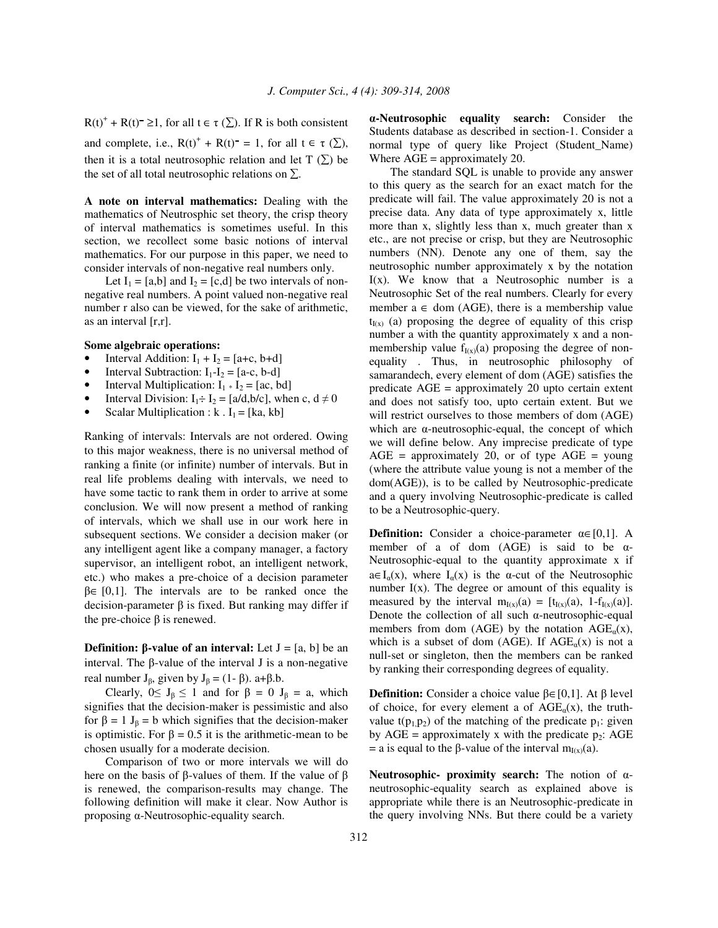$R(t)^+$  +  $R(t)^ \geq$  1, for all  $t \in \tau(\Sigma)$ . If R is both consistent and complete, i.e.,  $R(t)^+ + R(t)^- = 1$ , for all  $t \in \tau(\Sigma)$ , then it is a total neutrosophic relation and let  $T(\Sigma)$  be the set of all total neutrosophic relations on  $\Sigma$ .

**A note on interval mathematics:** Dealing with the mathematics of Neutrosphic set theory, the crisp theory of interval mathematics is sometimes useful. In this section, we recollect some basic notions of interval mathematics. For our purpose in this paper, we need to consider intervals of non-negative real numbers only.

Let  $I_1 = [a,b]$  and  $I_2 = [c,d]$  be two intervals of nonnegative real numbers. A point valued non-negative real number r also can be viewed, for the sake of arithmetic, as an interval [r,r].

#### **Some algebraic operations:**

- Interval Addition:  $I_1 + I_2 = [a+c, b+d]$
- Interval Subtraction:  $I_1-I_2 = [a-c, b-d]$
- Interval Multiplication:  $I_1 * I_2 = [ac, bd]$
- Interval Division:  $I_1 \div I_2 = [a/d,b/c]$ , when c,  $d \neq 0$
- Scalar Multiplication :  $k \cdot I_1 = [ka, kb]$

Ranking of intervals: Intervals are not ordered. Owing to this major weakness, there is no universal method of ranking a finite (or infinite) number of intervals. But in real life problems dealing with intervals, we need to have some tactic to rank them in order to arrive at some conclusion. We will now present a method of ranking of intervals, which we shall use in our work here in subsequent sections. We consider a decision maker (or any intelligent agent like a company manager, a factory supervisor, an intelligent robot, an intelligent network, etc.) who makes a pre-choice of a decision parameter  $\beta \in [0,1]$ . The intervals are to be ranked once the decision-parameter  $\beta$  is fixed. But ranking may differ if the pre-choice  $\beta$  is renewed.

**Definition:**  $\beta$ -value of an interval: Let  $J = [a, b]$  be an interval. The  $\beta$ -value of the interval J is a non-negative real number  $J_{\beta}$ , given by  $J_{\beta} = (1 - \beta)$ . a+ $\beta$ .b.

Clearly,  $0 \leq J_{\beta} \leq 1$  and for  $\beta = 0$   $J_{\beta} = a$ , which signifies that the decision-maker is pessimistic and also for  $\beta = 1$  J<sub> $\beta$ </sub> = b which signifies that the decision-maker is optimistic. For  $\beta = 0.5$  it is the arithmetic-mean to be chosen usually for a moderate decision.

Comparison of two or more intervals we will do here on the basis of  $\beta$ -values of them. If the value of  $\beta$ is renewed, the comparison-results may change. The following definition will make it clear. Now Author is proposing  $\alpha$ -Neutrosophic-equality search.

-**-Neutrosophic equality search:** Consider the Students database as described in section-1. Consider a normal type of query like Project (Student\_Name) Where  $\text{AGE} = \text{approximately } 20$ .

The standard SQL is unable to provide any answer to this query as the search for an exact match for the predicate will fail. The value approximately 20 is not a precise data. Any data of type approximately x, little more than x, slightly less than x, much greater than x etc., are not precise or crisp, but they are Neutrosophic numbers (NN). Denote any one of them, say the neutrosophic number approximately x by the notation  $I(x)$ . We know that a Neutrosophic number is a Neutrosophic Set of the real numbers. Clearly for every member  $a \in dom (AGE)$ , there is a membership value  $t_{I(x)}$  (a) proposing the degree of equality of this crisp number a with the quantity approximately x and a nonmembership value  $f_{I(x)}(a)$  proposing the degree of nonequality . Thus, in neutrosophic philosophy of samarandech, every element of dom (AGE) satisfies the predicate AGE = approximately 20 upto certain extent and does not satisfy too, upto certain extent. But we will restrict ourselves to those members of dom (AGE) which are  $\alpha$ -neutrosophic-equal, the concept of which we will define below. Any imprecise predicate of type  $AGE = approximately 20$ , or of type  $AGE = young$ (where the attribute value young is not a member of the dom(AGE)), is to be called by Neutrosophic-predicate and a query involving Neutrosophic-predicate is called to be a Neutrosophic-query.

**Definition:** Consider a choice-parameter  $\alpha \in [0,1]$ . A member of a of dom  $(AGE)$  is said to be  $\alpha$ -Neutrosophic-equal to the quantity approximate x if  $a \in I_{\alpha}(x)$ , where  $I_{\alpha}(x)$  is the  $\alpha$ -cut of the Neutrosophic number  $I(x)$ . The degree or amount of this equality is measured by the interval  $m_{I(x)}(a) = [t_{I(x)}(a), 1-f_{I(x)}(a)].$ Denote the collection of all such  $\alpha$ -neutrosophic-equal members from dom (AGE) by the notation  $\text{AGE}_{\alpha}(x)$ , which is a subset of dom (AGE). If  $AGE_{\alpha}(x)$  is not a null-set or singleton, then the members can be ranked by ranking their corresponding degrees of equality.

**Definition:** Consider a choice value  $\beta \in [0,1]$ . At  $\beta$  level of choice, for every element a of  $\text{AGE}_n(x)$ , the truthvalue  $t(p_1,p_2)$  of the matching of the predicate  $p_1$ : given by  $AGE = approximately x with the predicate p<sub>2</sub>:AGE$ = a is equal to the  $\beta$ -value of the interval m<sub>I(x)</sub>(a).

**Neutrosophic- proximity search:** The notion of  $\alpha$ neutrosophic-equality search as explained above is appropriate while there is an Neutrosophic-predicate in the query involving NNs. But there could be a variety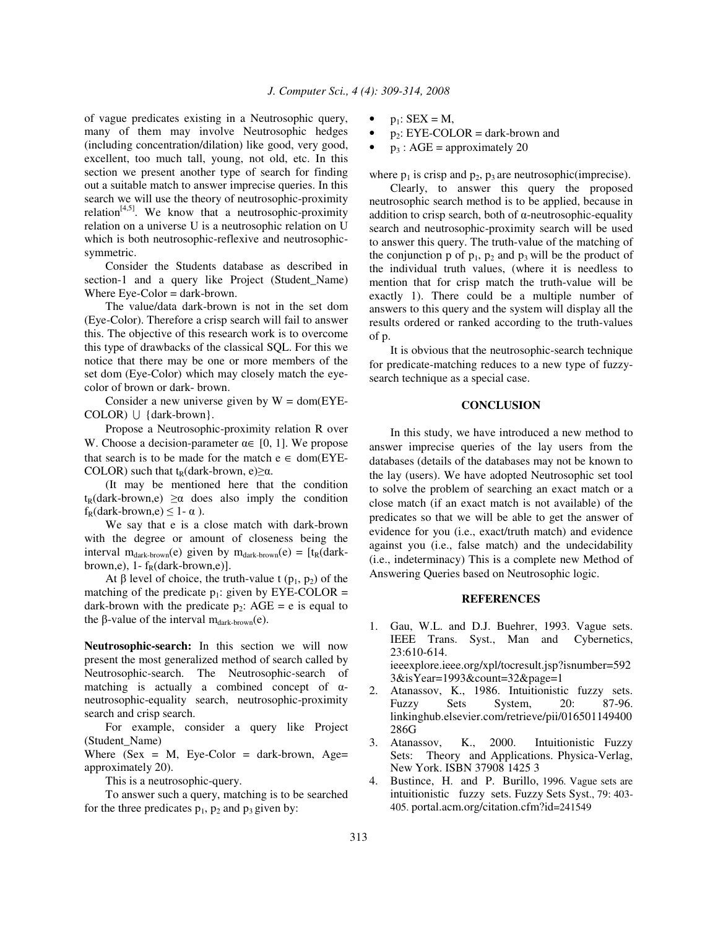of vague predicates existing in a Neutrosophic query, many of them may involve Neutrosophic hedges (including concentration/dilation) like good, very good, excellent, too much tall, young, not old, etc. In this section we present another type of search for finding out a suitable match to answer imprecise queries. In this search we will use the theory of neutrosophic-proximity relation<sup>[4,5]</sup>. We know that a neutrosophic-proximity relation on a universe U is a neutrosophic relation on U which is both neutrosophic-reflexive and neutrosophicsymmetric.

Consider the Students database as described in section-1 and a query like Project (Student\_Name) Where Eye-Color = dark-brown.

The value/data dark-brown is not in the set dom (Eye-Color). Therefore a crisp search will fail to answer this. The objective of this research work is to overcome this type of drawbacks of the classical SQL. For this we notice that there may be one or more members of the set dom (Eye-Color) which may closely match the eyecolor of brown or dark- brown.

Consider a new universe given by  $W = dom(EYE-$ COLOR)  $\cup$  {dark-brown}.

Propose a Neutrosophic-proximity relation R over W. Choose a decision-parameter  $\alpha \in [0, 1]$ . We propose that search is to be made for the match  $e \in dom(EYE-$ COLOR) such that  $t_R$ (dark-brown, e) $\geq \alpha$ .

(It may be mentioned here that the condition  $t_R$ (dark-brown,e)  $\geq \alpha$  does also imply the condition  $f_R(dark-brown,e) \leq 1-\alpha$ ).

We say that e is a close match with dark-brown with the degree or amount of closeness being the interval  $m_{dark-brown}(e)$  given by  $m_{dark-brown}(e) = [t_R(dark-tanh)]$ brown,e),  $1 - f_R(dark-brown, e)$ ].

At  $\beta$  level of choice, the truth-value t ( $p_1, p_2$ ) of the matching of the predicate  $p_1$ : given by EYE-COLOR = dark-brown with the predicate  $p_2$ : AGE = e is equal to the  $\beta$ -value of the interval  $m_{dark-brown}(e)$ .

**Neutrosophic-search:** In this section we will now present the most generalized method of search called by Neutrosophic-search. The Neutrosophic-search of matching is actually a combined concept of  $\alpha$ neutrosophic-equality search, neutrosophic-proximity search and crisp search.

For example, consider a query like Project (Student\_Name)

Where (Sex =  $M$ , Eye-Color = dark-brown, Age= approximately 20).

This is a neutrosophic-query.

To answer such a query, matching is to be searched for the three predicates  $p_1$ ,  $p_2$  and  $p_3$  given by:

- $p_1$ : SEX = M,
- $p_2$ : EYE-COLOR = dark-brown and
- $p_3$ : AGE = approximately 20

where  $p_1$  is crisp and  $p_2$ ,  $p_3$  are neutrosophic(imprecise).

Clearly, to answer this query the proposed neutrosophic search method is to be applied, because in addition to crisp search, both of  $\alpha$ -neutrosophic-equality search and neutrosophic-proximity search will be used to answer this query. The truth-value of the matching of the conjunction p of  $p_1$ ,  $p_2$  and  $p_3$  will be the product of the individual truth values, (where it is needless to mention that for crisp match the truth-value will be exactly 1). There could be a multiple number of answers to this query and the system will display all the results ordered or ranked according to the truth-values of p.

It is obvious that the neutrosophic-search technique for predicate-matching reduces to a new type of fuzzysearch technique as a special case.

## **CONCLUSION**

In this study, we have introduced a new method to answer imprecise queries of the lay users from the databases (details of the databases may not be known to the lay (users). We have adopted Neutrosophic set tool to solve the problem of searching an exact match or a close match (if an exact match is not available) of the predicates so that we will be able to get the answer of evidence for you (i.e., exact/truth match) and evidence against you (i.e., false match) and the undecidability (i.e., indeterminacy) This is a complete new Method of Answering Queries based on Neutrosophic logic.

## **REFERENCES**

- 1. Gau, W.L. and D.J. Buehrer, 1993. Vague sets. IEEE Trans. Syst., Man and Cybernetics, 23:610-614. ieeexplore.ieee.org/xpl/tocresult.jsp?isnumber=592 3&isYear=1993&count=32&page=1
- 2. Atanassov, K., 1986. Intuitionistic fuzzy sets. Fuzzy Sets System, 20: 87-96. linkinghub.elsevier.com/retrieve/pii/016501149400 286G
- 3. Atanassov, K., 2000. Intuitionistic Fuzzy Sets: Theory and Applications. Physica-Verlag, New York. ISBN 37908 1425 3
- 4. Bustince, H. and P. Burillo, 1996. Vague sets are intuitionistic fuzzy sets. Fuzzy Sets Syst., 79: 403- 405. portal.acm.org/citation.cfm?id=241549